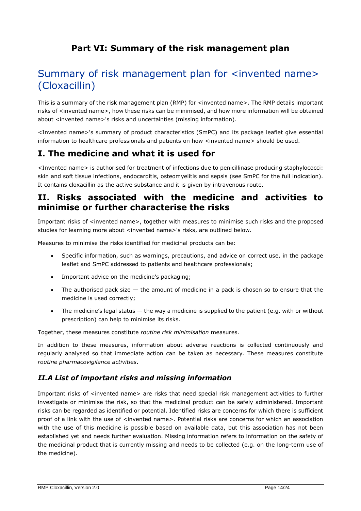## **Part VI: Summary of the risk management plan**

# Summary of risk management plan for <invented name> (Cloxacillin)

This is a summary of the risk management plan (RMP) for <invented name>. The RMP details important risks of <invented name>, how these risks can be minimised, and how more information will be obtained about <invented name>'s risks and uncertainties (missing information).

<Invented name>'s summary of product characteristics (SmPC) and its package leaflet give essential information to healthcare professionals and patients on how <invented name> should be used.

## **I. The medicine and what it is used for**

<Invented name> is authorised for treatment of infections due to penicillinase producing staphylococci: skin and soft tissue infections, endocarditis, osteomyelitis and sepsis (see SmPC for the full indication). It contains cloxacillin as the active substance and it is given by intravenous route.

## **II. Risks associated with the medicine and activities to minimise or further characterise the risks**

Important risks of <invented name>, together with measures to minimise such risks and the proposed studies for learning more about <invented name>'s risks, are outlined below.

Measures to minimise the risks identified for medicinal products can be:

- Specific information, such as warnings, precautions, and advice on correct use, in the package leaflet and SmPC addressed to patients and healthcare professionals;
- Important advice on the medicine's packaging;
- The authorised pack size  $-$  the amount of medicine in a pack is chosen so to ensure that the medicine is used correctly;
- The medicine's legal status the way a medicine is supplied to the patient (e.g. with or without prescription) can help to minimise its risks.

Together, these measures constitute *routine risk minimisation* measures.

In addition to these measures, information about adverse reactions is collected continuously and regularly analysed so that immediate action can be taken as necessary. These measures constitute *routine pharmacovigilance activities*.

## *II.A List of important risks and missing information*

Important risks of <invented name> are risks that need special risk management activities to further investigate or minimise the risk, so that the medicinal product can be safely administered. Important risks can be regarded as identified or potential. Identified risks are concerns for which there is sufficient proof of a link with the use of <invented name>. Potential risks are concerns for which an association with the use of this medicine is possible based on available data, but this association has not been established yet and needs further evaluation. Missing information refers to information on the safety of the medicinal product that is currently missing and needs to be collected (e.g. on the long-term use of the medicine).